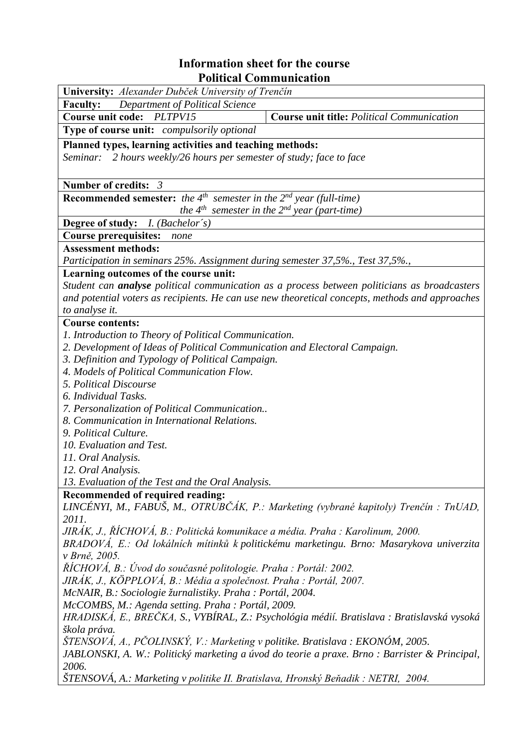## **Information sheet for the course<br>Political Communication**

| т онисаг Сонинишсанон                                                                               |  |  |  |  |  |  |
|-----------------------------------------------------------------------------------------------------|--|--|--|--|--|--|
| University: Alexander Dubček University of Trenčín                                                  |  |  |  |  |  |  |
| Department of Political Science<br><b>Faculty:</b>                                                  |  |  |  |  |  |  |
| <b>Course unit code:</b><br>PLTPV15<br><b>Course unit title: Political Communication</b>            |  |  |  |  |  |  |
| Type of course unit: compulsorily optional                                                          |  |  |  |  |  |  |
| Planned types, learning activities and teaching methods:                                            |  |  |  |  |  |  |
| Seminar: 2 hours weekly/26 hours per semester of study; face to face                                |  |  |  |  |  |  |
|                                                                                                     |  |  |  |  |  |  |
| Number of credits: 3                                                                                |  |  |  |  |  |  |
| <b>Recommended semester:</b> the $4^{th}$ semester in the $2^{nd}$ year (full-time)                 |  |  |  |  |  |  |
| the $4^{th}$ semester in the $2^{nd}$ year (part-time)                                              |  |  |  |  |  |  |
| Degree of study: <i>I. (Bachelor's)</i>                                                             |  |  |  |  |  |  |
| <b>Course prerequisites:</b><br>none                                                                |  |  |  |  |  |  |
| <b>Assessment methods:</b>                                                                          |  |  |  |  |  |  |
| Participation in seminars 25%. Assignment during semester 37,5%., Test 37,5%.,                      |  |  |  |  |  |  |
| Learning outcomes of the course unit:                                                               |  |  |  |  |  |  |
| Student can <b>analyse</b> political communication as a process between politicians as broadcasters |  |  |  |  |  |  |
| and potential voters as recipients. He can use new theoretical concepts, methods and approaches     |  |  |  |  |  |  |
| to analyse it.                                                                                      |  |  |  |  |  |  |
| <b>Course contents:</b>                                                                             |  |  |  |  |  |  |
| 1. Introduction to Theory of Political Communication.                                               |  |  |  |  |  |  |
| 2. Development of Ideas of Political Communication and Electoral Campaign.                          |  |  |  |  |  |  |
| 3. Definition and Typology of Political Campaign.                                                   |  |  |  |  |  |  |
| 4. Models of Political Communication Flow.                                                          |  |  |  |  |  |  |
| 5. Political Discourse                                                                              |  |  |  |  |  |  |
| 6. Individual Tasks.                                                                                |  |  |  |  |  |  |
| 7. Personalization of Political Communication                                                       |  |  |  |  |  |  |
| 8. Communication in International Relations.                                                        |  |  |  |  |  |  |
| 9. Political Culture.                                                                               |  |  |  |  |  |  |
| 10. Evaluation and Test.                                                                            |  |  |  |  |  |  |
| 11. Oral Analysis.                                                                                  |  |  |  |  |  |  |
| 12. Oral Analysis.                                                                                  |  |  |  |  |  |  |
| 13. Evaluation of the Test and the Oral Analysis.                                                   |  |  |  |  |  |  |
| Recommended of required reading:                                                                    |  |  |  |  |  |  |
| LINCÉNYI, M., FABUŠ, M., OTRUBČÁK, P.: Marketing (vybrané kapitoly) Trenčín : TnUAD,                |  |  |  |  |  |  |
| 2011.                                                                                               |  |  |  |  |  |  |
| JIRÁK, J., ŘÍCHOVÁ, B.: Politická komunikace a média. Praha : Karolinum, 2000.                      |  |  |  |  |  |  |
| BRADOVÁ, E.: Od lokálních mítinků k politickému marketingu. Brno: Masarykova univerzita             |  |  |  |  |  |  |
| v Brně, 2005.                                                                                       |  |  |  |  |  |  |
| ŘÍCHOVÁ, B.: Úvod do současné politologie. Praha : Portál: 2002.                                    |  |  |  |  |  |  |
| JIRÁK, J., KÖPPLOVÁ, B.: Média a společnost. Praha : Portál, 2007.                                  |  |  |  |  |  |  |
| McNAIR, B.: Sociologie žurnalistiky. Praha : Portál, 2004.                                          |  |  |  |  |  |  |
| McCOMBS, M.: Agenda setting. Praha : Portál, 2009.                                                  |  |  |  |  |  |  |
| HRADISKÁ, E., BREČKA, S., VYBÍRAL, Z.: Psychológia médií. Bratislava : Bratislavská vysoká          |  |  |  |  |  |  |
| škola práva.                                                                                        |  |  |  |  |  |  |
| ŠTENSOVÁ, A., PČOLINSKÝ, V.: Marketing v politike. Bratislava : EKONÓM, 2005.                       |  |  |  |  |  |  |
| JABLONSKI, A. W.: Politický marketing a úvod do teorie a praxe. Brno : Barrister & Principal,       |  |  |  |  |  |  |
| 2006.                                                                                               |  |  |  |  |  |  |
| ŠTENSOVÁ, A.: Marketing v politike II. Bratislava, Hronský Beňadik : NETRI, 2004.                   |  |  |  |  |  |  |